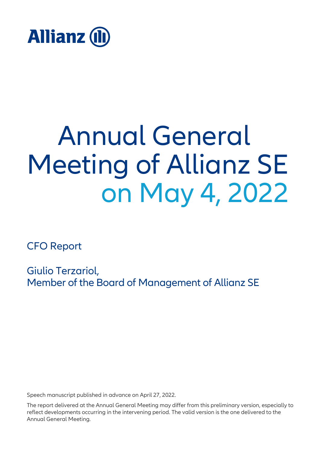

## Annual General Meeting of Allianz SE on May 4, 2022

CFO Report

Giulio Terzariol, Member of the Board of Management of Allianz SE

Speech manuscript published in advance on April 27, 2022.

The report delivered at the Annual General Meeting may differ from this preliminary version, especially to reflect developments occurring in the intervening period. The valid version is the one delivered to the Annual General Meeting.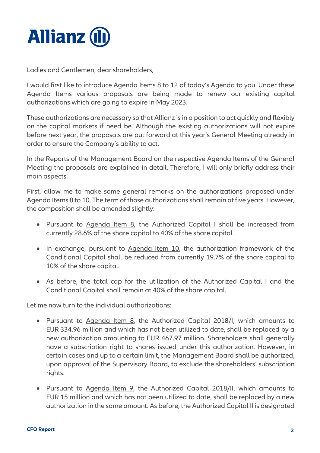

Ladies and Gentlemen, dear shareholders,

I would first like to introduce Agenda Items 8 to 12 of today's Agenda to you. Under these Agenda Items various proposals are being made to renew our existing capital authorizations which are going to expire in May 2023.

These authorizations are necessary so that Allianz is in a position to act quickly and flexibly on the capital markets if need be. Although the existing authorizations will not expire before next year, the proposals are put forward at this year's General Meeting already in order to ensure the Company's ability to act.

In the Reports of the Management Board on the respective Agenda Items of the General Meeting the proposals are explained in detail. Therefore, I will only briefly address their main aspects.

First, allow me to make some general remarks on the authorizations proposed under Agenda Items 8 to 10. The term of those authorizations shall remain at five years. However, the composition shall be amended slightly:

- Pursuant to Agenda Item 8, the Authorized Capital I shall be increased from currently 28.6% of the share capital to 40% of the share capital.
- In exchange, pursuant to Agenda Item 10, the authorization framework of the Conditional Capital shall be reduced from currently 19.7% of the share capital to 10% of the share capital.
- As before, the total cap for the utilization of the Authorized Capital I and the Conditional Capital shall remain at 40% of the share capital.

Let me now turn to the individual authorizations:

- Pursuant to Agenda Item 8, the Authorized Capital 2018/I, which amounts to EUR 334.96 million and which has not been utilized to date, shall be replaced by a new authorization amounting to EUR 467.97 million. Shareholders shall generally have a subscription right to shares issued under this authorization. However, in certain cases and up to a certain limit, the Management Board shall be authorized, upon approval of the Supervisory Board, to exclude the shareholders' subscription rights.
- Pursuant to Agenda Item 9, the Authorized Capital 2018/II, which amounts to EUR 15 million and which has not been utilized to date, shall be replaced by a new authorization in the same amount. As before, the Authorized Capital II is designated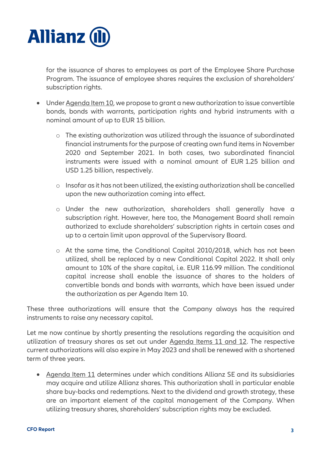

for the issuance of shares to employees as part of the Employee Share Purchase Program. The issuance of employee shares requires the exclusion of shareholders' subscription rights.

- Under Agenda Item 10, we propose to grant a new authorization to issue convertible bonds, bonds with warrants, participation rights and hybrid instruments with a nominal amount of up to EUR 15 billion.
	- o The existing authorization was utilized through the issuance of subordinated financial instruments for the purpose of creating own fund items in November 2020 and September 2021. In both cases, two subordinated financial instruments were issued with a nominal amount of EUR 1.25 billion and USD 1.25 billion, respectively.
	- o Insofar as it has not been utilized, the existing authorization shall be cancelled upon the new authorization coming into effect.
	- o Under the new authorization, shareholders shall generally have a subscription right. However, here too, the Management Board shall remain authorized to exclude shareholders' subscription rights in certain cases and up to a certain limit upon approval of the Supervisory Board.
	- o At the same time, the Conditional Capital 2010/2018, which has not been utilized, shall be replaced by a new Conditional Capital 2022. It shall only amount to 10% of the share capital, i.e. EUR 116.99 million. The conditional capital increase shall enable the issuance of shares to the holders of convertible bonds and bonds with warrants, which have been issued under the authorization as per Agenda Item 10.

These three authorizations will ensure that the Company always has the required instruments to raise any necessary capital.

Let me now continue by shortly presenting the resolutions regarding the acquisition and utilization of treasury shares as set out under Agenda Items 11 and 12. The respective current authorizations will also expire in May 2023 and shall be renewed with a shortened term of three years.

• Agenda Item 11 determines under which conditions Allianz SE and its subsidiaries may acquire and utilize Allianz shares. This authorization shall in particular enable share buy-backs and redemptions. Next to the dividend and growth strategy, these are an important element of the capital management of the Company. When utilizing treasury shares, shareholders' subscription rights may be excluded.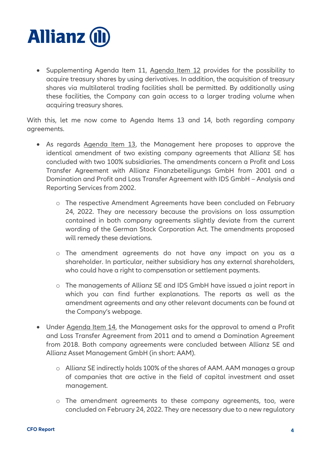

• Supplementing Agenda Item 11, Agenda Item 12 provides for the possibility to acquire treasury shares by using derivatives. In addition, the acquisition of treasury shares via multilateral trading facilities shall be permitted. By additionally using these facilities, the Company can gain access to a larger trading volume when acquiring treasury shares.

With this, let me now come to Agenda Items 13 and 14, both regarding company agreements.

- As regards Agenda Item 13, the Management here proposes to approve the identical amendment of two existing company agreements that Allianz SE has concluded with two 100% subsidiaries. The amendments concern a Profit and Loss Transfer Agreement with Allianz Finanzbeteiligungs GmbH from 2001 and a Domination and Profit and Loss Transfer Agreement with IDS GmbH – Analysis and Reporting Services from 2002.
	- o The respective Amendment Agreements have been concluded on February 24, 2022. They are necessary because the provisions on loss assumption contained in both company agreements slightly deviate from the current wording of the German Stock Corporation Act. The amendments proposed will remedy these deviations.
	- o The amendment agreements do not have any impact on you as a shareholder. In particular, neither subsidiary has any external shareholders, who could have a right to compensation or settlement payments.
	- o The managements of Allianz SE and IDS GmbH have issued a joint report in which you can find further explanations. The reports as well as the amendment agreements and any other relevant documents can be found at the Company's webpage.
- Under Agenda Item 14, the Management asks for the approval to amend a Profit and Loss Transfer Agreement from 2011 and to amend a Domination Agreement from 2018. Both company agreements were concluded between Allianz SE and Allianz Asset Management GmbH (in short: AAM).
	- o Allianz SE indirectly holds 100% of the shares of AAM. AAM manages a group of companies that are active in the field of capital investment and asset management.
	- o The amendment agreements to these company agreements, too, were concluded on February 24, 2022. They are necessary due to a new regulatory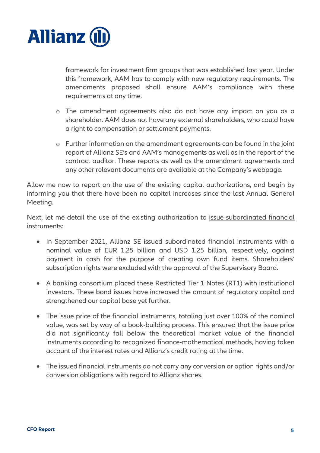

framework for investment firm groups that was established last year. Under this framework, AAM has to comply with new regulatory requirements. The amendments proposed shall ensure AAM's compliance with these requirements at any time.

- o The amendment agreements also do not have any impact on you as a shareholder. AAM does not have any external shareholders, who could have a right to compensation or settlement payments.
- o Further information on the amendment agreements can be found in the joint report of Allianz SE's and AAM's managements as well as in the report of the contract auditor. These reports as well as the amendment agreements and any other relevant documents are available at the Company's webpage.

Allow me now to report on the use of the existing capital authorizations, and begin by informing you that there have been no capital increases since the last Annual General Meeting.

Next, let me detail the use of the existing authorization to issue subordinated financial instruments:

- In September 2021, Allianz SE issued subordinated financial instruments with a nominal value of EUR 1.25 billion and USD 1.25 billion, respectively, against payment in cash for the purpose of creating own fund items. Shareholders' subscription rights were excluded with the approval of the Supervisory Board.
- A banking consortium placed these Restricted Tier 1 Notes (RT1) with institutional investors. These bond issues have increased the amount of regulatory capital and strengthened our capital base yet further.
- The issue price of the financial instruments, totaling just over 100% of the nominal value, was set by way of a book-building process. This ensured that the issue price did not significantly fall below the theoretical market value of the financial instruments according to recognized finance-mathematical methods, having taken account of the interest rates and Allianz's credit rating at the time.
- The issued financial instruments do not carry any conversion or option rights and/or conversion obligations with regard to Allianz shares.